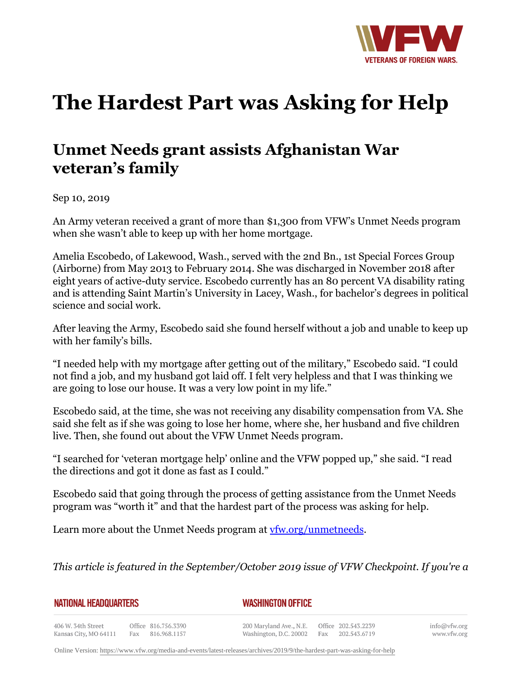

## **The Hardest Part was Asking for Help**

## **Unmet Needs grant assists Afghanistan War veteran's family**

Sep 10, 2019

An Army veteran received a grant of more than \$1,300 from VFW's Unmet Needs program when she wasn't able to keep up with her home mortgage.

Amelia Escobedo, of Lakewood, Wash., served with the 2nd Bn., 1st Special Forces Group (Airborne) from May 2013 to February 2014. She was discharged in November 2018 after eight years of active-duty service. Escobedo currently has an 80 percent VA disability rating and is attending Saint Martin's University in Lacey, Wash., for bachelor's degrees in political science and social work.

After leaving the Army, Escobedo said she found herself without a job and unable to keep up with her family's bills.

"I needed help with my mortgage after getting out of the military," Escobedo said. "I could not find a job, and my husband got laid off. I felt very helpless and that I was thinking we are going to lose our house. It was a very low point in my life."

Escobedo said, at the time, she was not receiving any disability compensation from VA. She said she felt as if she was going to lose her home, where she, her husband and five children live. Then, she found out about the VFW Unmet Needs program.

"I searched for 'veteran mortgage help' online and the VFW popped up," she said. "I read the directions and got it done as fast as I could."

Escobedo said that going through the process of getting assistance from the Unmet Needs program was "worth it" and that the hardest part of the process was asking for help.

Learn more about the Unmet Needs program at [vfw.org/unmetneeds.](http://www.vfw.org/assistance/financial-grants)

*This article is featured in the September/October 2019 issue of VFW Checkpoint. If you're a*

**NATIONAL HEADQUARTERS** 

*WASHINGTON OFFICE* 

406 W. 34th Street Office 816.756.3390 Kansas City, MO 64111 Fax 816.968.1157

200 Maryland Ave., N.E. Washington, D.C. 20002

Office 202.543.2239 Fax 202.543.6719 info@vfw.org www.vfw.org

Online Version:<https://www.vfw.org/media-and-events/latest-releases/archives/2019/9/the-hardest-part-was-asking-for-help>